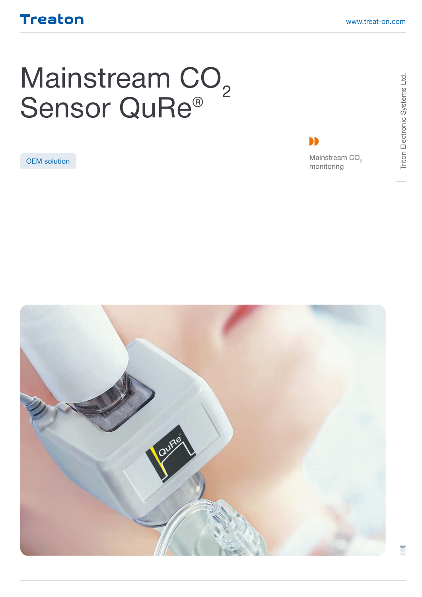## Treaton

# Mainstream CO<sub>2</sub> Sensor QuRe®



**OEM solution** Mainstream CO<sub>2</sub> monitoring

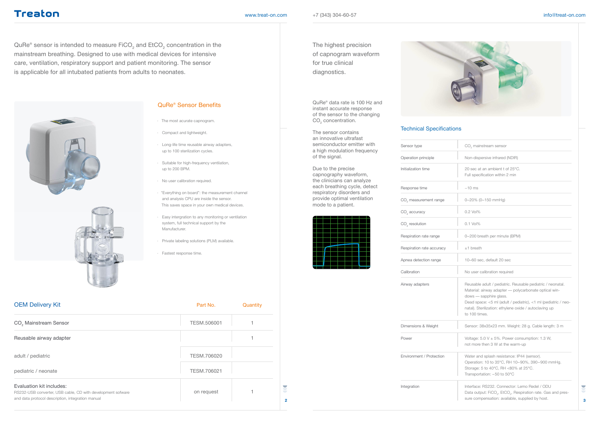## **Treaton**

#### [www.treat-on.com](http://www.treat-on.com)  $+7$  (343) 304-60-57 info@[treat-on.com](http://www.treat-on.com) info@treat-on.com

QuRe® sensor is intended to measure FiCO $_2$  and EtCO $_2$  concentration in the mainstream breathing. Designed to use with medical devices for intensive care, ventilation, respiratory support and patient monitoring. The sensor is applicable for all intubated patients from adults to neonates.





QuRe® data rate is 100 Hz and instant accurate response of the sensor to the changing  $\mathrm{CO}_2$  concentration.

### QuRe® Sensor Benefits

- The most acurate capnogram.
- Compact and lightweight.
- Long-life time reusable airway adapters, up to 100 sterilization cycles.
- Suitable for high-frequency ventilation, up to 200 BPM.
- No user calibration required.
- · "Everything on board": the measurement channel and analysis CPU are inside the sensor. This saves space in your own medical devices.
- Easy intergration to any monitoring or ventilation system, full technical support by the Manufacturer.
- Private labeling solutions (PLM) available.
- Fastest response time.

| CO <sub>2</sub> Mainstream Sensor                                                                                                            | <b>TESM.506001</b> |  |
|----------------------------------------------------------------------------------------------------------------------------------------------|--------------------|--|
| Reusable airway adapter                                                                                                                      |                    |  |
| adult / pediatric                                                                                                                            | TESM.706020        |  |
| pediatric / neonate                                                                                                                          | TESM.706021        |  |
| Evaluation kit includes:<br>RS232-USB converter, USB cable, CD with development sofware<br>and data protocol description, integration manual | on request         |  |

The highest precision of capnogram waveform for true clinical diagnostics.

The sensor contains an innovative ultrafast semiconductor emitter with a high modulation frequency of the signal.

| semiconductor emitter with                                                                                     | Sensor type                       | CO <sub>2</sub> mainstream sensor                                                                                                                                                                                                                                                          |
|----------------------------------------------------------------------------------------------------------------|-----------------------------------|--------------------------------------------------------------------------------------------------------------------------------------------------------------------------------------------------------------------------------------------------------------------------------------------|
| a high modulation frequency<br>of the signal.                                                                  | Operation principle               | Non-dispersive infrared (NDIR)                                                                                                                                                                                                                                                             |
| Due to the precise<br>capnography waveform,<br>the clinicians can analyze                                      | Initialization time               | 20 sec at an ambient t of 25°C.<br>Full specification within 2 min                                                                                                                                                                                                                         |
| each breathing cycle, detect<br>respiratory disorders and<br>provide optimal ventilation<br>mode to a patient. | Response time                     | $~10$ ms                                                                                                                                                                                                                                                                                   |
|                                                                                                                | CO <sub>2</sub> measurement range | 0-20% (0-150 mmHg)                                                                                                                                                                                                                                                                         |
|                                                                                                                | CO <sub>2</sub> accuracy          | 0.2 Vol%                                                                                                                                                                                                                                                                                   |
|                                                                                                                | $CO2$ resolution                  | $0.1$ Vol $%$                                                                                                                                                                                                                                                                              |
|                                                                                                                | Respiration rate range            | 0-200 breath per minute (BPM)                                                                                                                                                                                                                                                              |
|                                                                                                                | Respiration rate accuracy         | $±1$ breath                                                                                                                                                                                                                                                                                |
|                                                                                                                | Apnea detection range             | 10-60 sec, default 20 sec                                                                                                                                                                                                                                                                  |
|                                                                                                                | Calibration                       | No user calibration required                                                                                                                                                                                                                                                               |
|                                                                                                                | Airway adapters                   | Reusable adult / pediatric. Reusable pediatric / neonatal.<br>Material: airway adapter - polycarbonate optical win-<br>dows - sapphire glass.<br>Dead space: <5 ml (adult / pediatric), <1 ml (pediatric / neo-<br>natal). Sterilization: ethylene oxide / autoclaving up<br>to 100 times. |
|                                                                                                                | Dimensions & Weight               | Sensor: 38x35x23 mm. Weight: 28 g. Cable length: 3 m                                                                                                                                                                                                                                       |
|                                                                                                                | Power                             | Voltage: $5.0 V \pm 5\%$ . Power consumption: 1.3 W,<br>not more then 3 W at the warm-up                                                                                                                                                                                                   |
|                                                                                                                | Environment / Protection          | Water and splash resistance: IP44 (sensor).<br>Operation: 10 to 35°C, RH 10-90%, 390-900 mmHg.<br>Storage: 5 to 40°C, RH <80% at 25°C.<br>Transportation: -50 to 50°C                                                                                                                      |
| 2                                                                                                              | Integration                       | Interface: RS232. Connector: Lemo Redel / ODU<br>Data output: FiCO <sub>2</sub> , EtCO <sub>2</sub> , Respiration rate. Gas and pres-<br>sure compensation: available, supplied by host.                                                                                                   |





#### Technical Specifications

| Sensor type                       | $CO2$ main              |
|-----------------------------------|-------------------------|
| Operation principle               | Non-disp                |
| Initialization time               | 20 sec at<br>Full speci |
| Response time                     | $~10$ ms                |
| CO <sub>2</sub> measurement range | $0 - 20\%$ (C           |
| CO <sub>2</sub> accuracy          | $0.2$ Vol%              |
| CO <sub>2</sub> resolution        | $0.1$ Vol%              |
| Respiration rate range            | $0 - 200$ br            |
| Respiration rate accuracy         | $±1$ breath             |
| Apnea detection range             | $10 - 60$ se            |
| Calibration                       | No user c               |

**OEM Delivery Kit CONDITION** CONTINUES AND **Part No.** Quantity